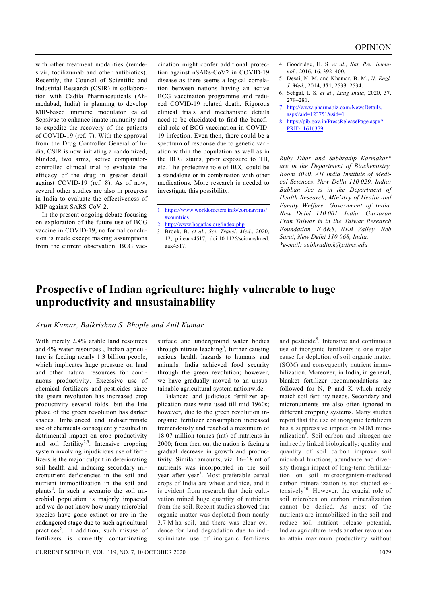with other treatment modalities (remdesivir, tocilizumab and other antibiotics). Recently, the Council of Scientific and Industrial Research (CSIR) in collaboration with Cadila Pharmaceuticals (Ahmedabad, India) is planning to develop MIP-based immune modulator called Sepsivac to enhance innate immunity and to expedite the recovery of the patients of COVID-19 (ref. 7). With the approval from the Drug Controller General of India, CSIR is now initiating a randomized, blinded, two arms, active comparatorcontrolled clinical trial to evaluate the efficacy of the drug in greater detail against COVID-19 (ref. 8). As of now, several other studies are also in progress in India to evaluate the effectiveness of MIP against SARS-CoV-2.

 In the present ongoing debate focusing on exploration of the future use of BCG vaccine in COVID-19, no formal conclusion is made except making assumptions from the current observation. BCG vaccination might confer additional protection against nSARs-CoV2 in COVID-19 disease as there seems a logical correlation between nations having an active BCG vaccination programme and reduced COVID-19 related death. Rigorous clinical trials and mechanistic details need to be elucidated to find the beneficial role of BCG vaccination in COVID-19 infection. Even then, there could be a spectrum of response due to genetic variation within the population as well as in the BCG stains, prior exposure to TB, etc. The protective role of BCG could be a standalone or in combination with other medications. More research is needed to investigate this possibility.

- 1. https://www.worldometers.info/coronavirus/ #countries
- 2. http://www.bcgatlas.org/index.php
- 3. Brook, B. *et al.*, *Sci. Transl. Med*., 2020, 12, pii:eaax4517; doi:10.1126/scitranslmed. aax4517.
- 4. Goodridge, H. S. *et al.*, *Nat. Rev. Immunol.*, 2016, **16**, 392–400.
- 5. Desai, N. M. and Khamar, B. M., *N. Engl. J. Med*., 2014, **371**, 2533–2534.
- 6. Sehgal, I. S. *et al*., *Lung India*, 2020, **37**, 279–281.
- 7. http://www.pharmabiz.com/NewsDetails.  $a$ spx?aid=123751&sid=1
- 8. https://pib.gov.in/PressReleasePage.aspx? PRID=1616379

*Ruby Dhar and Subhradip Karmakar\* are in the Department of Biochemistry, Room 3020, AII India Institute of Medical Sciences, New Delhi 110 029, India; Babban Jee is in the Department of Health Research, Ministry of Health and Family Welfare, Government of India, New Delhi 110 001, India; Gursaran Pran Talwar is in the Talwar Research Foundation, E-6&8, NEB Valley, Neb Sarai, New Delhi 110 068, India. \*e-mail: subhradip.k@aiims.edu* 

## **Prospective of Indian agriculture: highly vulnerable to huge unproductivity and unsustainability**

## *Arun Kumar, Balkrishna S. Bhople and Anil Kumar*

With merely 2.4% arable land resources and  $4\%$  water resources<sup>1</sup>, Indian agriculture is feeding nearly 1.3 billion people, which implicates huge pressure on land and other natural resources for continuous productivity. Excessive use of chemical fertilizers and pesticides since the green revolution has increased crop productivity several folds, but the late phase of the green revolution has darker shades. Imbalanced and indiscriminate use of chemicals consequently resulted in detrimental impact on crop productivity and soil fertility<sup>2,3</sup>. Intensive cropping system involving injudicious use of fertilizers is the major culprit in deteriorating soil health and inducing secondary micronutrient deficiencies in the soil and nutrient immobilization in the soil and plants<sup>4</sup>. In such a scenario the soil microbial population is majorly impacted and we do not know how many microbial species have gone extinct or are in the endangered stage due to such agricultural practices<sup>5</sup>. In addition, such misuse of fertilizers is currently contaminating

surface and underground water bodies through nitrate leaching<sup>6</sup>, further causing serious health hazards to humans and animals. India achieved food security through the green revolution; however, we have gradually moved to an unsustainable agricultural system nationwide.

 Balanced and judicious fertilizer application rates were used till mid 1960s; however, due to the green revolution inorganic fertilizer consumption increased tremendously and reached a maximum of 18.07 million tonnes (mt) of nutrients in 2000; from then on, the nation is facing a gradual decrease in growth and productivity. Similar amounts, viz. 16–18 mt of nutrients was incorporated in the soil year after year<sup>7</sup>. Most preferable cereal crops of India are wheat and rice, and it is evident from research that their cultivation mined huge quantity of nutrients from the soil. Recent studies showed that organic matter was depleted from nearly 3.7 M ha soil, and there was clear evidence for land degradation due to indiscriminate use of inorganic fertilizers

and pesticide<sup>8</sup>. Intensive and continuous use of inorganic fertilizers is one major cause for depletion of soil organic matter (SOM) and consequently nutrient immobilization. Moreover, in India, in general, blanket fertilizer recommendations are followed for N, P and K which rarely match soil fertility needs. Secondary and micronutrients are also often ignored in different cropping systems. Many studies report that the use of inorganic fertilizers has a suppressive impact on SOM mineralization<sup>9</sup>. Soil carbon and nitrogen are indirectly linked biologically; quality and quantity of soil carbon improve soil microbial functions, abundance and diversity though impact of long-term fertilization on soil microorganism-mediated carbon mineralization is not studied extensively<sup>10</sup>. However, the crucial role of soil microbes on carbon mineralization cannot be denied. As most of the nutrients are immobilized in the soil and reduce soil nutrient release potential, Indian agriculture needs another revolution to attain maximum productivity without